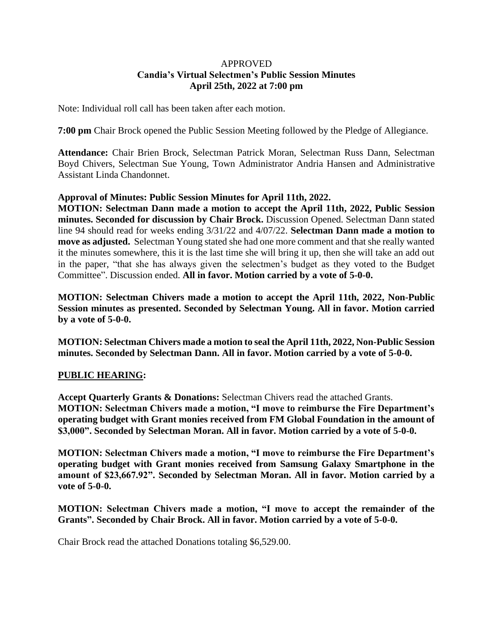## APPROVED **Candia's Virtual Selectmen's Public Session Minutes April 25th, 2022 at 7:00 pm**

Note: Individual roll call has been taken after each motion.

**7:00 pm** Chair Brock opened the Public Session Meeting followed by the Pledge of Allegiance.

**Attendance:** Chair Brien Brock, Selectman Patrick Moran, Selectman Russ Dann, Selectman Boyd Chivers, Selectman Sue Young, Town Administrator Andria Hansen and Administrative Assistant Linda Chandonnet.

## **Approval of Minutes: Public Session Minutes for April 11th, 2022.**

**MOTION: Selectman Dann made a motion to accept the April 11th, 2022, Public Session minutes. Seconded for discussion by Chair Brock.** Discussion Opened. Selectman Dann stated line 94 should read for weeks ending 3/31/22 and 4/07/22. **Selectman Dann made a motion to move as adjusted.** Selectman Young stated she had one more comment and that she really wanted it the minutes somewhere, this it is the last time she will bring it up, then she will take an add out in the paper, "that she has always given the selectmen's budget as they voted to the Budget Committee". Discussion ended. **All in favor. Motion carried by a vote of 5-0-0.**

**MOTION: Selectman Chivers made a motion to accept the April 11th, 2022, Non-Public Session minutes as presented. Seconded by Selectman Young. All in favor. Motion carried by a vote of 5-0-0.**

**MOTION: Selectman Chivers made a motion to seal the April 11th, 2022, Non-Public Session minutes. Seconded by Selectman Dann. All in favor. Motion carried by a vote of 5-0-0.**

# **PUBLIC HEARING:**

**Accept Quarterly Grants & Donations:** Selectman Chivers read the attached Grants. **MOTION: Selectman Chivers made a motion, "I move to reimburse the Fire Department's operating budget with Grant monies received from FM Global Foundation in the amount of \$3,000". Seconded by Selectman Moran. All in favor. Motion carried by a vote of 5-0-0.**

**MOTION: Selectman Chivers made a motion, "I move to reimburse the Fire Department's operating budget with Grant monies received from Samsung Galaxy Smartphone in the amount of \$23,667.92". Seconded by Selectman Moran. All in favor. Motion carried by a vote of 5-0-0.**

**MOTION: Selectman Chivers made a motion, "I move to accept the remainder of the Grants". Seconded by Chair Brock. All in favor. Motion carried by a vote of 5-0-0.**

Chair Brock read the attached Donations totaling \$6,529.00.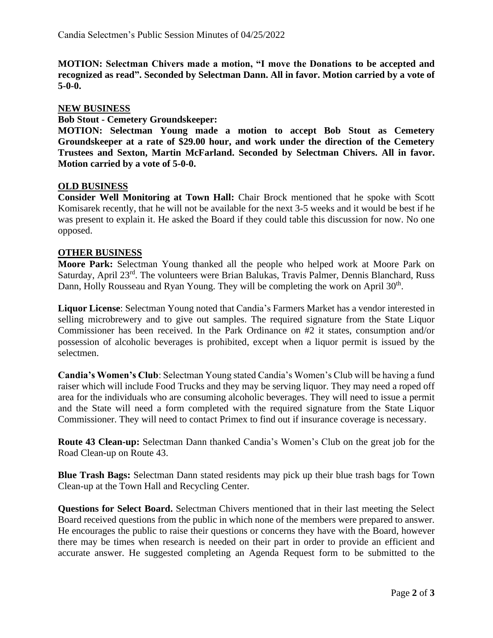**MOTION: Selectman Chivers made a motion, "I move the Donations to be accepted and recognized as read". Seconded by Selectman Dann. All in favor. Motion carried by a vote of 5-0-0.**

## **NEW BUSINESS**

**Bob Stout - Cemetery Groundskeeper:** 

**MOTION: Selectman Young made a motion to accept Bob Stout as Cemetery Groundskeeper at a rate of \$29.00 hour, and work under the direction of the Cemetery Trustees and Sexton, Martin McFarland. Seconded by Selectman Chivers. All in favor. Motion carried by a vote of 5-0-0.**

## **OLD BUSINESS**

**Consider Well Monitoring at Town Hall:** Chair Brock mentioned that he spoke with Scott Komisarek recently, that he will not be available for the next 3-5 weeks and it would be best if he was present to explain it. He asked the Board if they could table this discussion for now. No one opposed.

## **OTHER BUSINESS**

**Moore Park:** Selectman Young thanked all the people who helped work at Moore Park on Saturday, April 23<sup>rd</sup>. The volunteers were Brian Balukas, Travis Palmer, Dennis Blanchard, Russ Dann, Holly Rousseau and Ryan Young. They will be completing the work on April 30<sup>th</sup>.

**Liquor License**: Selectman Young noted that Candia's Farmers Market has a vendor interested in selling microbrewery and to give out samples. The required signature from the State Liquor Commissioner has been received. In the Park Ordinance on #2 it states, consumption and/or possession of alcoholic beverages is prohibited, except when a liquor permit is issued by the selectmen.

**Candia's Women's Club**: Selectman Young stated Candia's Women's Club will be having a fund raiser which will include Food Trucks and they may be serving liquor. They may need a roped off area for the individuals who are consuming alcoholic beverages. They will need to issue a permit and the State will need a form completed with the required signature from the State Liquor Commissioner. They will need to contact Primex to find out if insurance coverage is necessary.

**Route 43 Clean-up:** Selectman Dann thanked Candia's Women's Club on the great job for the Road Clean-up on Route 43.

**Blue Trash Bags:** Selectman Dann stated residents may pick up their blue trash bags for Town Clean-up at the Town Hall and Recycling Center.

**Questions for Select Board.** Selectman Chivers mentioned that in their last meeting the Select Board received questions from the public in which none of the members were prepared to answer. He encourages the public to raise their questions or concerns they have with the Board, however there may be times when research is needed on their part in order to provide an efficient and accurate answer. He suggested completing an Agenda Request form to be submitted to the